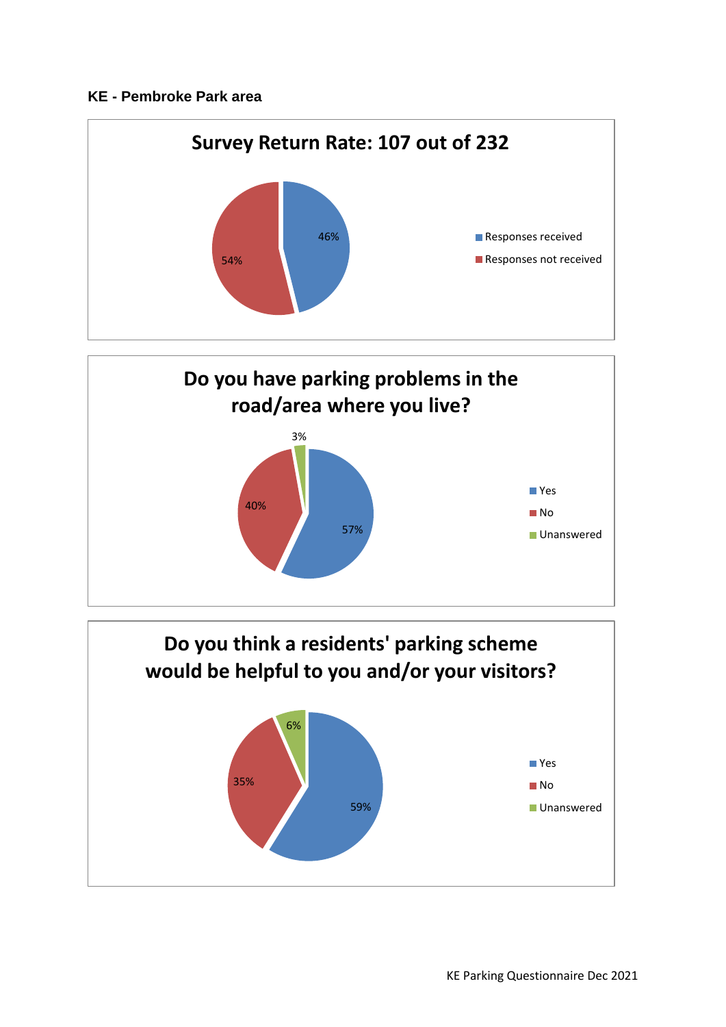## **KE - Pembroke Park area**





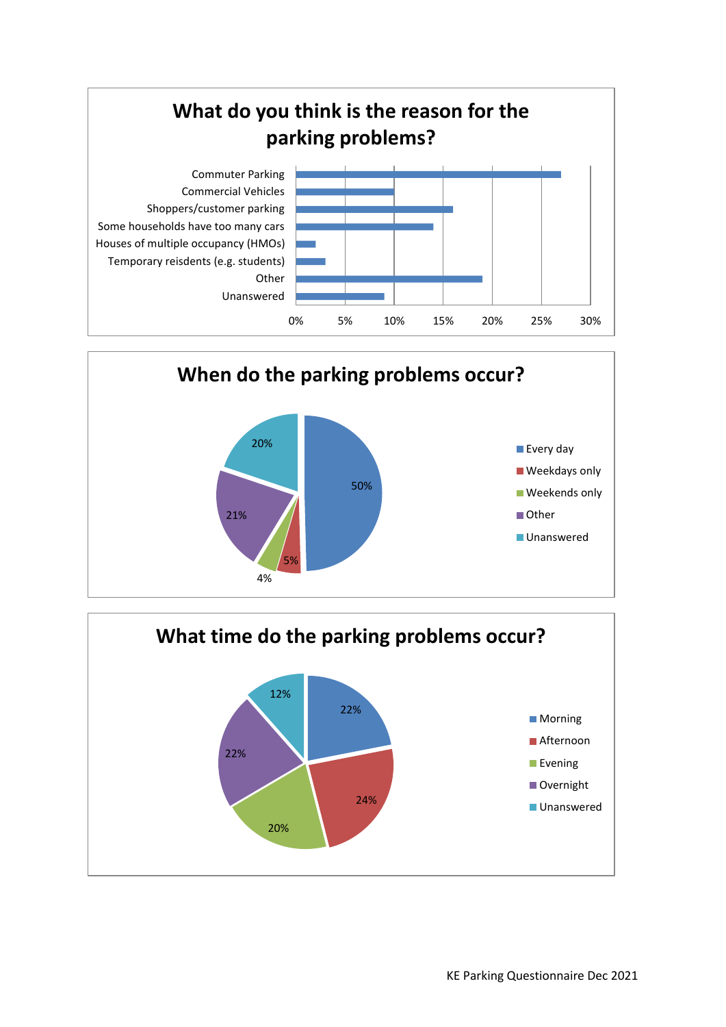



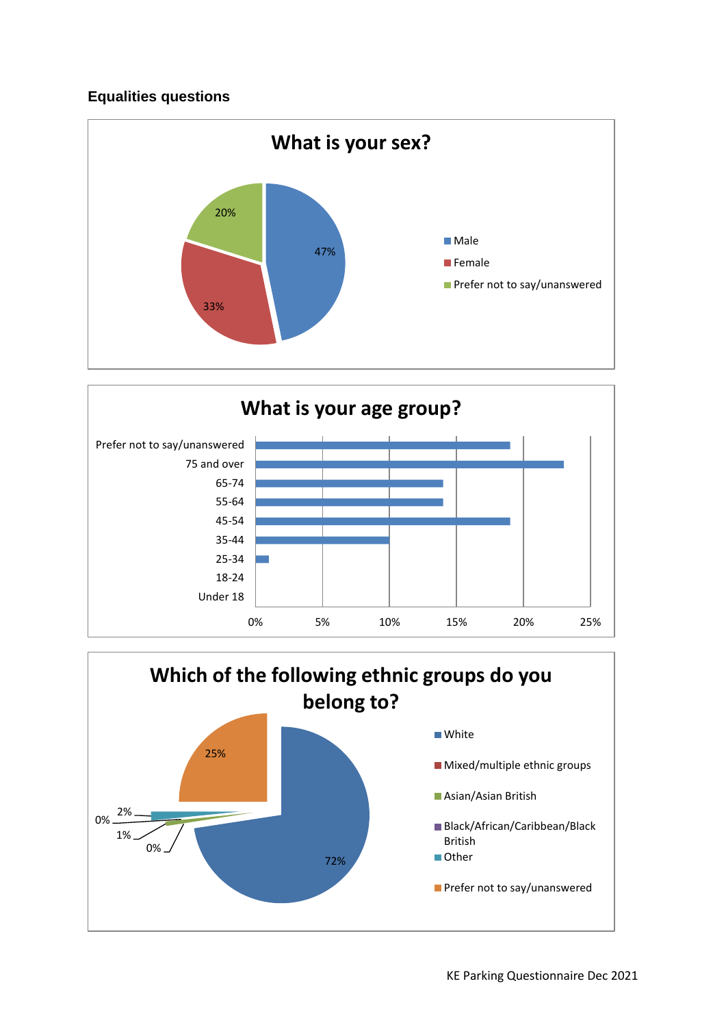## **Equalities questions**





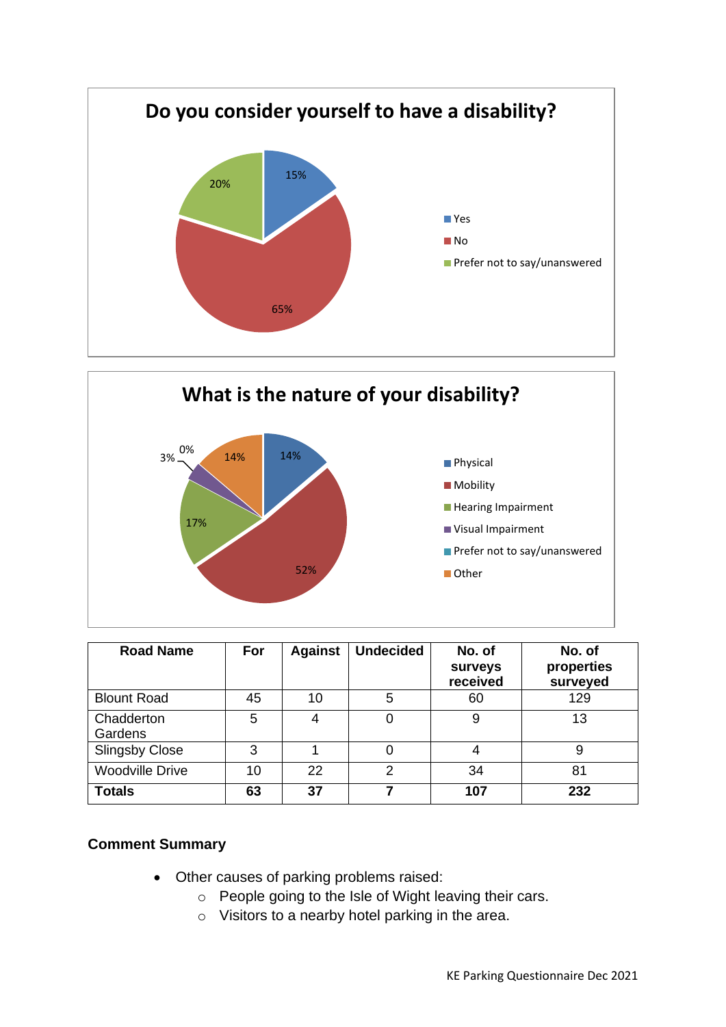



| <b>Road Name</b>       | For | <b>Against</b> | <b>Undecided</b> | No. of<br>surveys<br>received | No. of<br>properties<br>surveyed |
|------------------------|-----|----------------|------------------|-------------------------------|----------------------------------|
| <b>Blount Road</b>     | 45  | 10             | 5                | 60                            | 129                              |
| Chadderton<br>Gardens  | 5   | 4              | 0                | 9                             | 13                               |
| <b>Slingsby Close</b>  | 3   |                |                  |                               | 9                                |
| <b>Woodville Drive</b> | 10  | 22             | 2                | 34                            | 81                               |
| <b>Totals</b>          | 63  | 37             |                  | 107                           | 232                              |

## **Comment Summary**

- Other causes of parking problems raised:
	- o People going to the Isle of Wight leaving their cars.
	- o Visitors to a nearby hotel parking in the area.